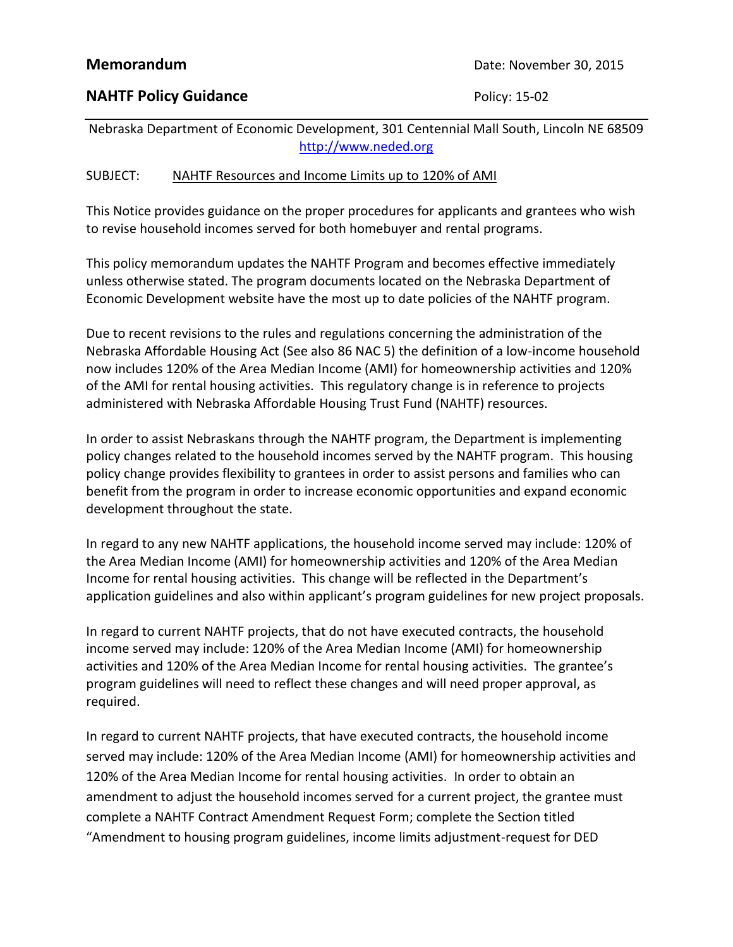## **NAHTF Policy Guidance Policy: 15-02**

Nebraska Department of Economic Development, 301 Centennial Mall South, Lincoln NE 68509 [http://www.neded.org](http://www.neded.org/)

## SUBJECT: NAHTF Resources and Income Limits up to 120% of AMI

This Notice provides guidance on the proper procedures for applicants and grantees who wish to revise household incomes served for both homebuyer and rental programs.

This policy memorandum updates the NAHTF Program and becomes effective immediately unless otherwise stated. The program documents located on the Nebraska Department of Economic Development website have the most up to date policies of the NAHTF program.

Due to recent revisions to the rules and regulations concerning the administration of the Nebraska Affordable Housing Act (See also 86 NAC 5) the definition of a low-income household now includes 120% of the Area Median Income (AMI) for homeownership activities and 120% of the AMI for rental housing activities. This regulatory change is in reference to projects administered with Nebraska Affordable Housing Trust Fund (NAHTF) resources.

In order to assist Nebraskans through the NAHTF program, the Department is implementing policy changes related to the household incomes served by the NAHTF program. This housing policy change provides flexibility to grantees in order to assist persons and families who can benefit from the program in order to increase economic opportunities and expand economic development throughout the state.

In regard to any new NAHTF applications, the household income served may include: 120% of the Area Median Income (AMI) for homeownership activities and 120% of the Area Median Income for rental housing activities. This change will be reflected in the Department's application guidelines and also within applicant's program guidelines for new project proposals.

In regard to current NAHTF projects, that do not have executed contracts, the household income served may include: 120% of the Area Median Income (AMI) for homeownership activities and 120% of the Area Median Income for rental housing activities. The grantee's program guidelines will need to reflect these changes and will need proper approval, as required.

In regard to current NAHTF projects, that have executed contracts, the household income served may include: 120% of the Area Median Income (AMI) for homeownership activities and 120% of the Area Median Income for rental housing activities. In order to obtain an amendment to adjust the household incomes served for a current project, the grantee must complete a NAHTF Contract Amendment Request Form; complete the Section titled "Amendment to housing program guidelines, income limits adjustment-request for DED